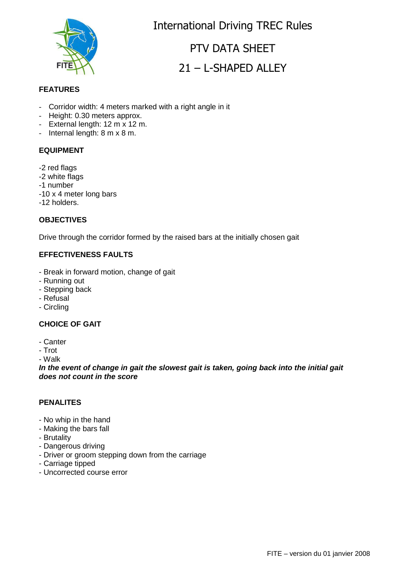

International Driving TREC Rules

# PTV DATA SHEET 21 – L-SHAPED ALLEY

### **FEATURES**

- Corridor width: 4 meters marked with a right angle in it
- Height: 0.30 meters approx.
- External length:  $12 \text{ m} \times 12 \text{ m}$ .
- Internal length: 8 m x 8 m.

#### **EQUIPMENT**

- -2 red flags
- -2 white flags
- -1 number
- -10 x 4 meter long bars
- -12 holders.

#### **OBJECTIVES**

Drive through the corridor formed by the raised bars at the initially chosen gait

#### **EFFECTIVENESS FAULTS**

- Break in forward motion, change of gait
- Running out
- Stepping back
- Refusal
- Circling

### **CHOICE OF GAIT**

- Canter
- Trot

- Walk

**In the event of change in gait the slowest gait is taken, going back into the initial gait does not count in the score**

#### **PENALITES**

- No whip in the hand
- Making the bars fall
- Brutality
- Dangerous driving
- Driver or groom stepping down from the carriage
- Carriage tipped
- Uncorrected course error